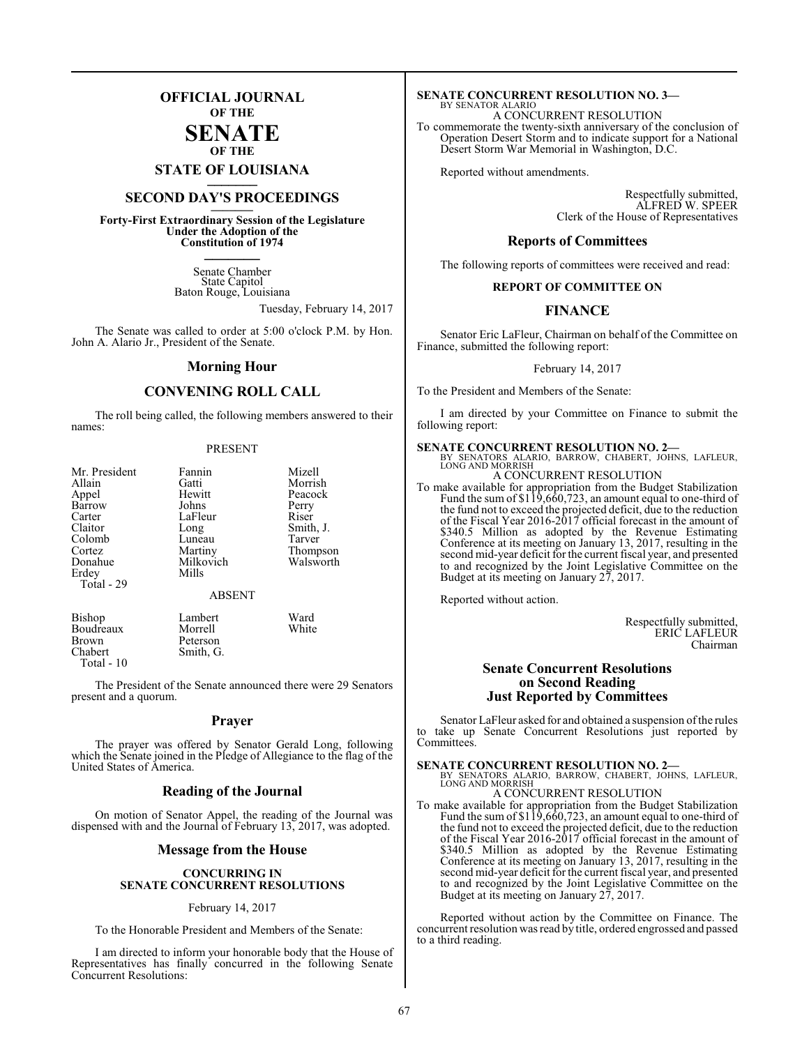# **OFFICIAL JOURNAL OF THE**

## **SENATE OF THE**

**STATE OF LOUISIANA \_\_\_\_\_\_\_**

# **SECOND DAY'S PROCEEDINGS \_\_\_\_\_\_\_**

**Forty-First Extraordinary Session of the Legislature Under the Adoption of the Constitution of 1974 \_\_\_\_\_\_\_**

> Senate Chamber State Capitol Baton Rouge, Louisiana

> > Tuesday, February 14, 2017

The Senate was called to order at 5:00 o'clock P.M. by Hon. John A. Alario Jr., President of the Senate.

#### **Morning Hour**

# **CONVENING ROLL CALL**

The roll being called, the following members answered to their names:

#### PRESENT

| Mr. President       | Fannin                 | Mizell    |
|---------------------|------------------------|-----------|
| Allain              | Gatti                  | Morrish   |
| Appel               | Hewitt                 | Peacock   |
| Barrow              | Johns                  | Perry     |
| Carter              | LaFleur                | Riser     |
| Claitor             | Long                   | Smith, J. |
| Colomb              | Luneau                 | Tarver    |
| Cortez              | Martiny                | Thompson  |
| Donahue             | Milkovich              | Walsworth |
| Erdey<br>Total - 29 | Mills<br><b>ABSENT</b> |           |
| Bishop              | Lambert                | Ward      |
| Boudreaux           | Morrell                | White     |

Smith, G.

Brown Peterson<br>Chabert Smith G

Total - 10

The President of the Senate announced there were 29 Senators present and a quorum.

#### **Prayer**

The prayer was offered by Senator Gerald Long, following which the Senate joined in the Pledge of Allegiance to the flag of the United States of America.

#### **Reading of the Journal**

On motion of Senator Appel, the reading of the Journal was dispensed with and the Journal of February 13, 2017, was adopted.

### **Message from the House**

#### **CONCURRING IN SENATE CONCURRENT RESOLUTIONS**

#### February 14, 2017

To the Honorable President and Members of the Senate:

I am directed to inform your honorable body that the House of Representatives has finally concurred in the following Senate Concurrent Resolutions:

#### **SENATE CONCURRENT RESOLUTION NO. 3—** BY SENATOR ALARIO

A CONCURRENT RESOLUTION To commemorate the twenty-sixth anniversary of the conclusion of Operation Desert Storm and to indicate support for a National

Desert Storm War Memorial in Washington, D.C.

Reported without amendments.

Respectfully submitted, ALFRED W. SPEER Clerk of the House of Representatives

#### **Reports of Committees**

The following reports of committees were received and read:

#### **REPORT OF COMMITTEE ON**

# **FINANCE**

Senator Eric LaFleur, Chairman on behalf of the Committee on Finance, submitted the following report:

February 14, 2017

To the President and Members of the Senate:

I am directed by your Committee on Finance to submit the following report:

**SENATE CONCURRENT RESOLUTION NO. 2—**<br>BY SENATORS ALARIO, BARROW, CHABERT, JOHNS, LAFLEUR,<br>LONG AND MORRISH A CONCURRENT RESOLUTION

To make available for appropriation from the Budget Stabilization Fund the sum of \$119,660,723, an amount equal to one-third of the fund not to exceed the projected deficit, due to the reduction of the Fiscal Year 2016-2017 official forecast in the amount of \$340.5 Million as adopted by the Revenue Estimating Conference at its meeting on January 13, 2017, resulting in the second mid-year deficit for the current fiscal year, and presented to and recognized by the Joint Legislative Committee on the Budget at its meeting on January 27, 2017.

Reported without action.

Respectfully submitted, ERIC LAFLEUR Chairman

### **Senate Concurrent Resolutions on Second Reading Just Reported by Committees**

Senator LaFleur asked for and obtained a suspension of the rules to take up Senate Concurrent Resolutions just reported by Committees.

**SENATE CONCURRENT RESOLUTION NO. 2—**<br>BY SENATORS ALARIO, BARROW, CHABERT, JOHNS, LAFLEUR,<br>LONG AND MORRISH A CONCURRENT RESOLUTION

To make available for appropriation from the Budget Stabilization Fund the sum of \$119,660,723, an amount equal to one-third of the fund not to exceed the projected deficit, due to the reduction of the Fiscal Year 2016-2017 official forecast in the amount of \$340.5 Million as adopted by the Revenue Estimating Conference at its meeting on January 13, 2017, resulting in the second mid-year deficit for the current fiscal year, and presented to and recognized by the Joint Legislative Committee on the Budget at its meeting on January 27, 2017.

Reported without action by the Committee on Finance. The concurrent resolution was read by title, ordered engrossed and passed to a third reading.